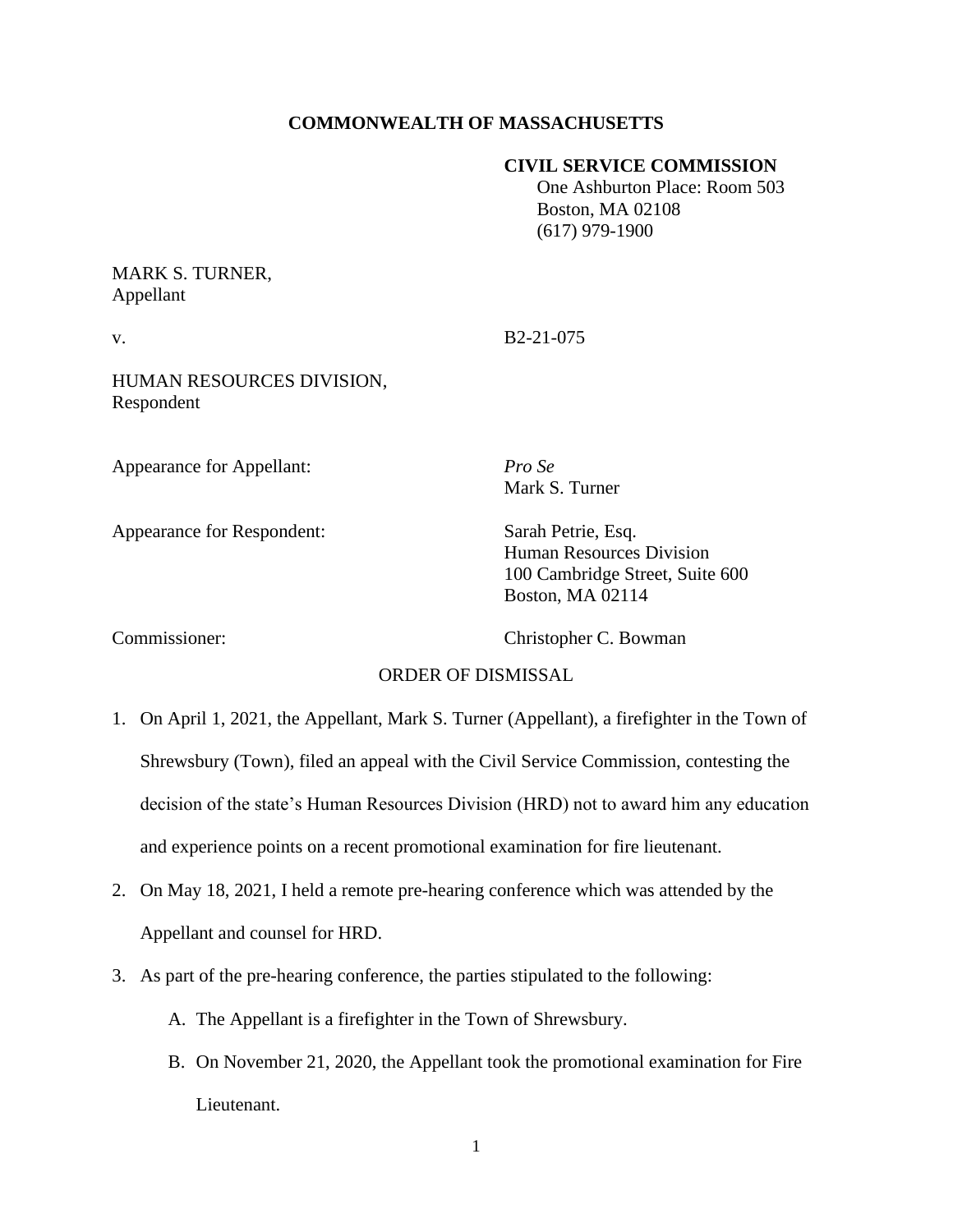# **COMMONWEALTH OF MASSACHUSETTS**

### **CIVIL SERVICE COMMISSION**

 One Ashburton Place: Room 503 Boston, MA 02108 (617) 979-1900

# MARK S. TURNER, Appellant

v. B2-21-075

HUMAN RESOURCES DIVISION, Respondent

Appearance for Appellant: *Pro Se*

Appearance for Respondent: Sarah Petrie, Esq.

Mark S. Turner

Human Resources Division 100 Cambridge Street, Suite 600 Boston, MA 02114

Commissioner: Christopher C. Bowman

# ORDER OF DISMISSAL

- 1. On April 1, 2021, the Appellant, Mark S. Turner (Appellant), a firefighter in the Town of Shrewsbury (Town), filed an appeal with the Civil Service Commission, contesting the decision of the state's Human Resources Division (HRD) not to award him any education and experience points on a recent promotional examination for fire lieutenant.
- 2. On May 18, 2021, I held a remote pre-hearing conference which was attended by the Appellant and counsel for HRD.
- 3. As part of the pre-hearing conference, the parties stipulated to the following:
	- A. The Appellant is a firefighter in the Town of Shrewsbury.
	- B. On November 21, 2020, the Appellant took the promotional examination for Fire Lieutenant.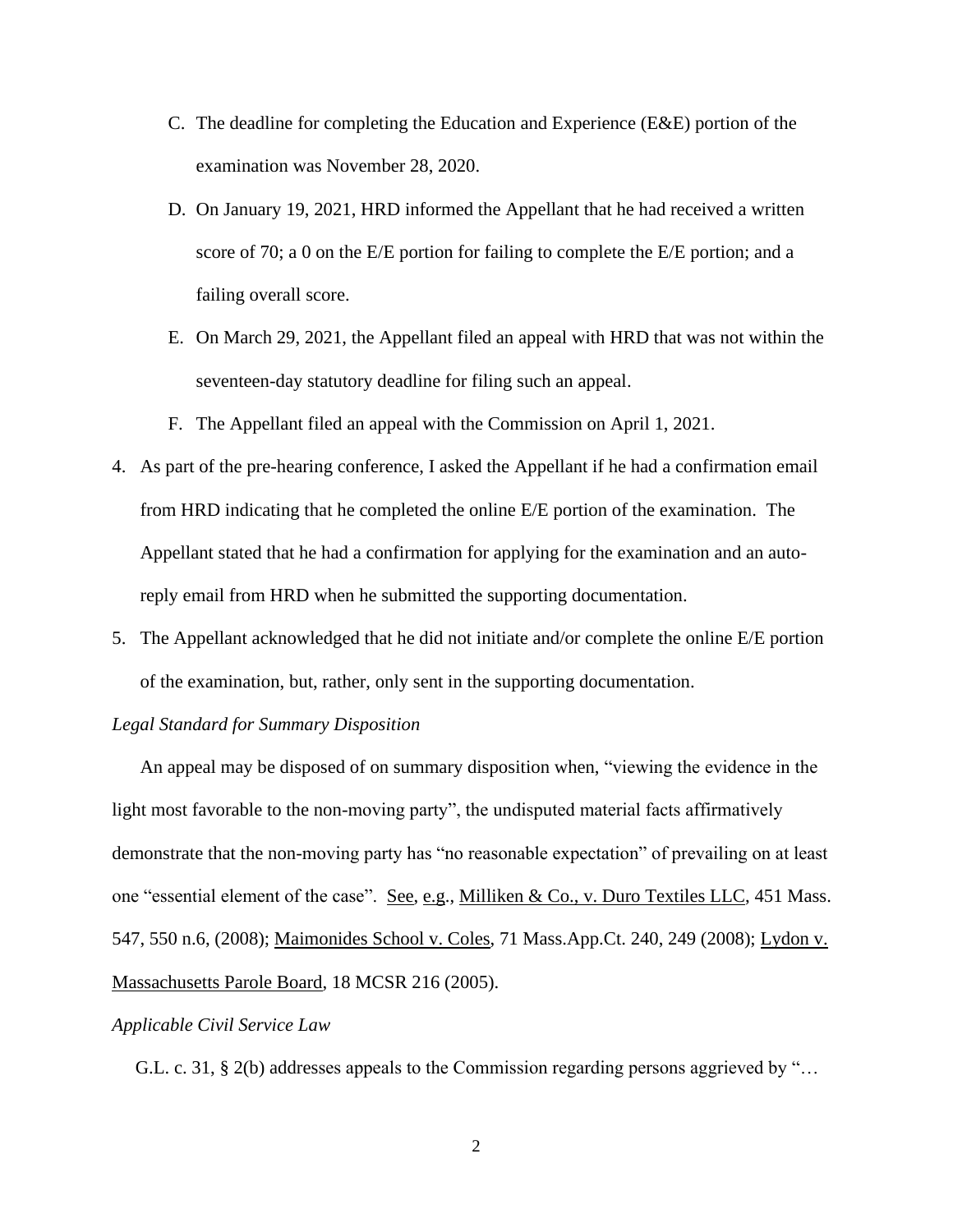- C. The deadline for completing the Education and Experience (E&E) portion of the examination was November 28, 2020.
- D. On January 19, 2021, HRD informed the Appellant that he had received a written score of 70; a 0 on the E/E portion for failing to complete the E/E portion; and a failing overall score.
- E. On March 29, 2021, the Appellant filed an appeal with HRD that was not within the seventeen-day statutory deadline for filing such an appeal.
- F. The Appellant filed an appeal with the Commission on April 1, 2021.
- 4. As part of the pre-hearing conference, I asked the Appellant if he had a confirmation email from HRD indicating that he completed the online E/E portion of the examination. The Appellant stated that he had a confirmation for applying for the examination and an autoreply email from HRD when he submitted the supporting documentation.
- 5. The Appellant acknowledged that he did not initiate and/or complete the online E/E portion of the examination, but, rather, only sent in the supporting documentation.

#### *Legal Standard for Summary Disposition*

An appeal may be disposed of on summary disposition when, "viewing the evidence in the light most favorable to the non-moving party", the undisputed material facts affirmatively demonstrate that the non-moving party has "no reasonable expectation" of prevailing on at least one "essential element of the case". See, e.g., Milliken & Co., v. Duro Textiles LLC, 451 Mass. 547, 550 n.6, (2008); Maimonides School v. Coles, 71 Mass.App.Ct. 240, 249 (2008); Lydon v. Massachusetts Parole Board, 18 MCSR 216 (2005).

### *Applicable Civil Service Law*

G.L. c. 31, § 2(b) addresses appeals to the Commission regarding persons aggrieved by "…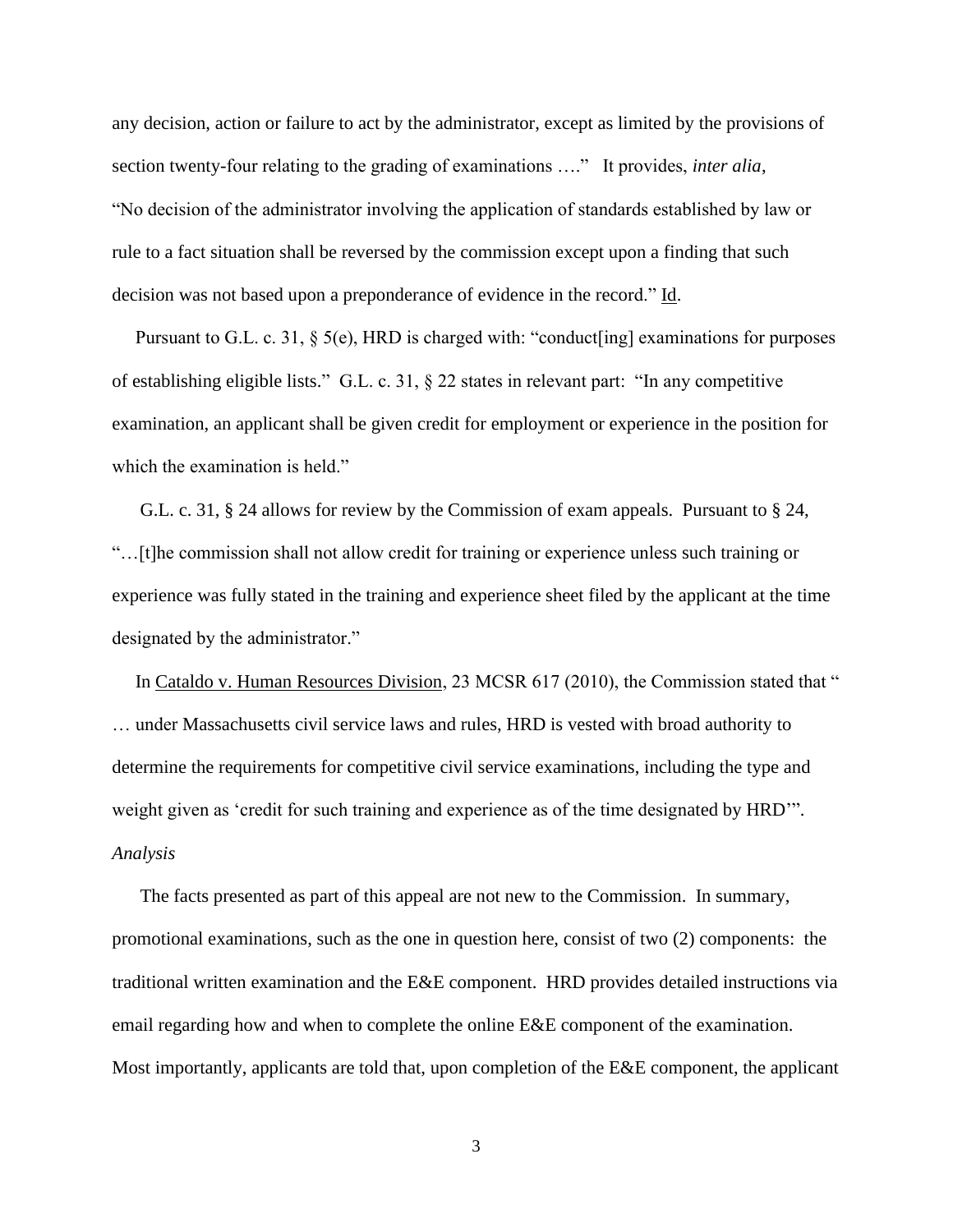any decision, action or failure to act by the administrator, except as limited by the provisions of section twenty-four relating to the grading of examinations …." It provides, *inter alia*, "No decision of the administrator involving the application of standards established by law or rule to a fact situation shall be reversed by the commission except upon a finding that such decision was not based upon a preponderance of evidence in the record." Id.

Pursuant to G.L. c. 31, § 5(e), HRD is charged with: "conduct[ing] examinations for purposes of establishing eligible lists." G.L. c. 31, § 22 states in relevant part: "In any competitive examination, an applicant shall be given credit for employment or experience in the position for which the examination is held."

 G.L. c. 31, § 24 allows for review by the Commission of exam appeals. Pursuant to § 24, "…[t]he commission shall not allow credit for training or experience unless such training or experience was fully stated in the training and experience sheet filed by the applicant at the time designated by the administrator."

 In Cataldo v. Human Resources Division, 23 MCSR 617 (2010), the Commission stated that " … under Massachusetts civil service laws and rules, HRD is vested with broad authority to determine the requirements for competitive civil service examinations, including the type and weight given as 'credit for such training and experience as of the time designated by HRD'". *Analysis*

 The facts presented as part of this appeal are not new to the Commission. In summary, promotional examinations, such as the one in question here, consist of two (2) components: the traditional written examination and the E&E component. HRD provides detailed instructions via email regarding how and when to complete the online E&E component of the examination. Most importantly, applicants are told that, upon completion of the E&E component, the applicant

3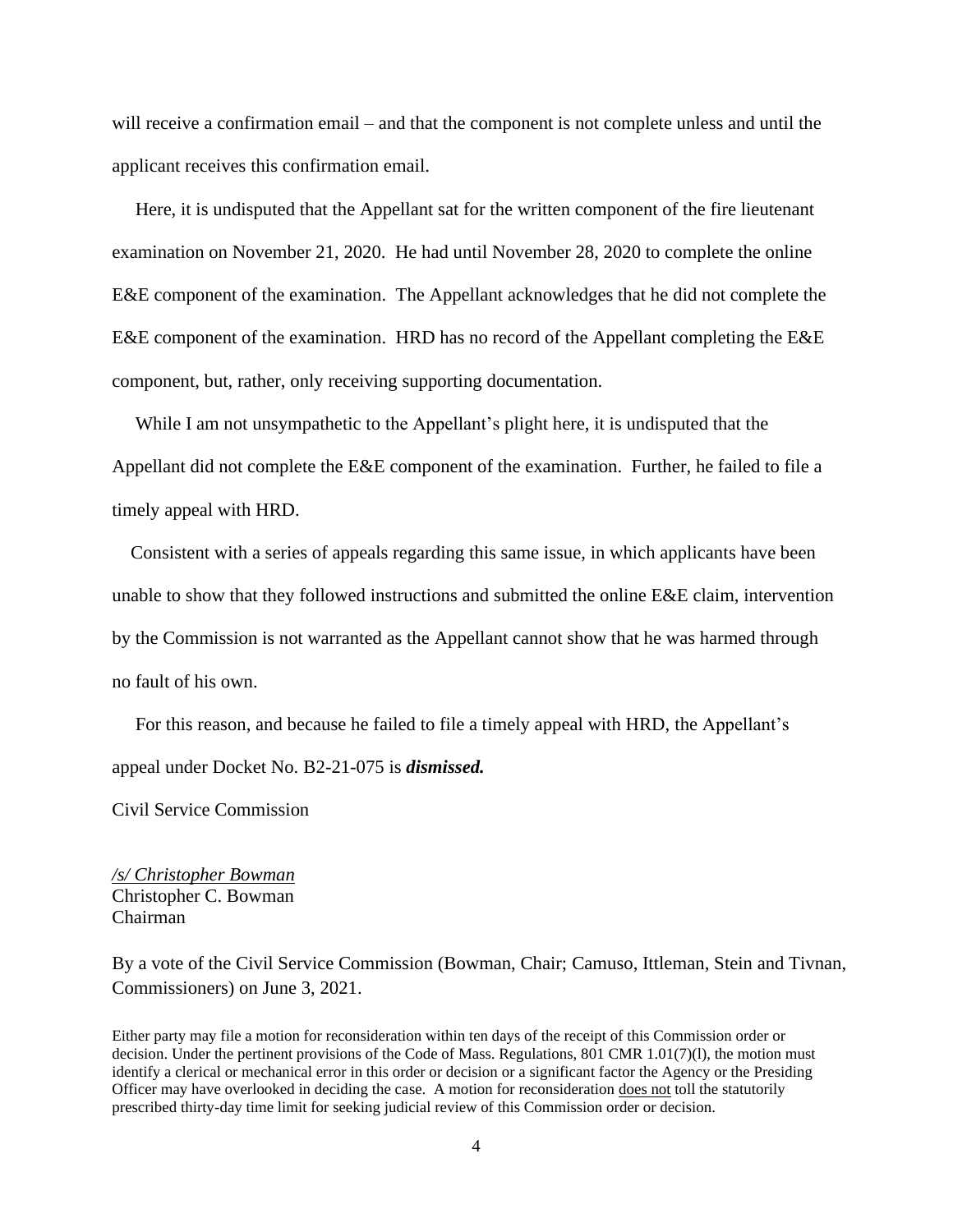will receive a confirmation email – and that the component is not complete unless and until the applicant receives this confirmation email.

 Here, it is undisputed that the Appellant sat for the written component of the fire lieutenant examination on November 21, 2020. He had until November 28, 2020 to complete the online E&E component of the examination. The Appellant acknowledges that he did not complete the E&E component of the examination. HRD has no record of the Appellant completing the E&E component, but, rather, only receiving supporting documentation.

 While I am not unsympathetic to the Appellant's plight here, it is undisputed that the Appellant did not complete the E&E component of the examination. Further, he failed to file a timely appeal with HRD.

 Consistent with a series of appeals regarding this same issue, in which applicants have been unable to show that they followed instructions and submitted the online E&E claim, intervention by the Commission is not warranted as the Appellant cannot show that he was harmed through no fault of his own.

 For this reason, and because he failed to file a timely appeal with HRD, the Appellant's appeal under Docket No. B2-21-075 is *dismissed.*

Civil Service Commission

*/s/ Christopher Bowman* Christopher C. Bowman Chairman

By a vote of the Civil Service Commission (Bowman, Chair; Camuso, Ittleman, Stein and Tivnan, Commissioners) on June 3, 2021.

Either party may file a motion for reconsideration within ten days of the receipt of this Commission order or decision. Under the pertinent provisions of the Code of Mass. Regulations, 801 CMR 1.01(7)(l), the motion must identify a clerical or mechanical error in this order or decision or a significant factor the Agency or the Presiding Officer may have overlooked in deciding the case. A motion for reconsideration does not toll the statutorily prescribed thirty-day time limit for seeking judicial review of this Commission order or decision.